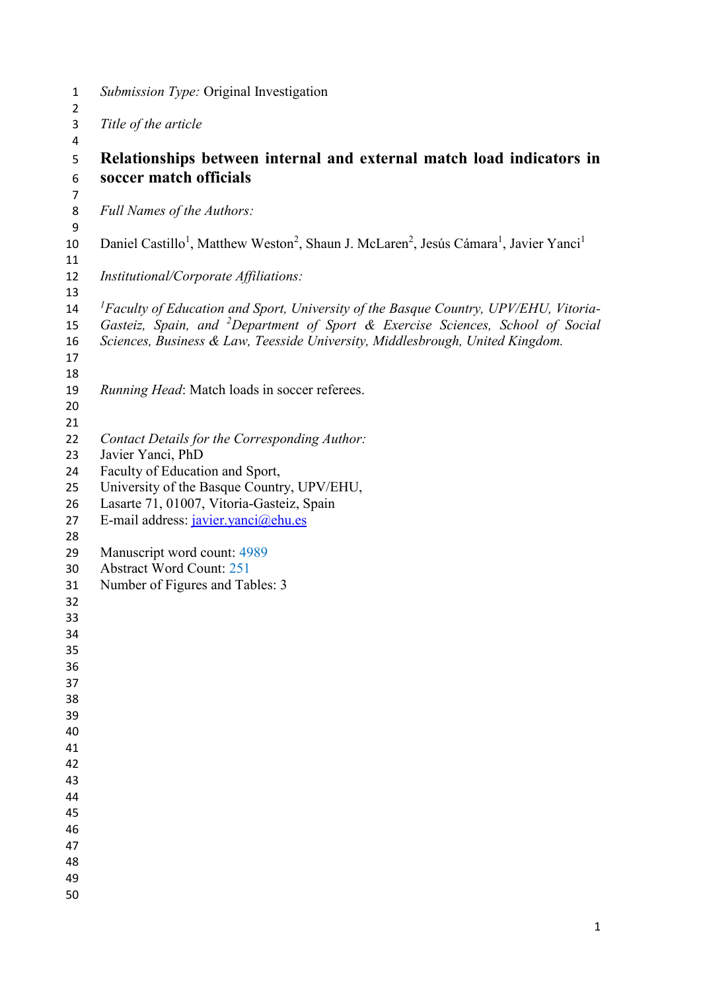| 1              | Submission Type: Original Investigation                                                                                                            |
|----------------|----------------------------------------------------------------------------------------------------------------------------------------------------|
| $\overline{2}$ |                                                                                                                                                    |
| 3<br>4         | Title of the article                                                                                                                               |
| 5              | Relationships between internal and external match load indicators in                                                                               |
| 6              | soccer match officials                                                                                                                             |
| $\overline{7}$ |                                                                                                                                                    |
| 8              | <b>Full Names of the Authors:</b>                                                                                                                  |
| 9              | Daniel Castillo <sup>1</sup> , Matthew Weston <sup>2</sup> , Shaun J. McLaren <sup>2</sup> , Jesús Cámara <sup>1</sup> , Javier Yanci <sup>1</sup> |
| 10<br>11       |                                                                                                                                                    |
| 12             | Institutional/Corporate Affiliations:                                                                                                              |
| 13             |                                                                                                                                                    |
| 14             | <sup>1</sup> Faculty of Education and Sport, University of the Basque Country, UPV/EHU, Vitoria-                                                   |
| 15             | Gasteiz, Spain, and <sup>2</sup> Department of Sport & Exercise Sciences, School of Social                                                         |
| 16             | Sciences, Business & Law, Teesside University, Middlesbrough, United Kingdom.                                                                      |
| 17             |                                                                                                                                                    |
| 18             |                                                                                                                                                    |
| 19             | Running Head: Match loads in soccer referees.                                                                                                      |
| 20             |                                                                                                                                                    |
| 21             |                                                                                                                                                    |
| 22             | Contact Details for the Corresponding Author:                                                                                                      |
| 23             | Javier Yanci, PhD                                                                                                                                  |
| 24             | Faculty of Education and Sport,                                                                                                                    |
| 25<br>26       | University of the Basque Country, UPV/EHU,<br>Lasarte 71, 01007, Vitoria-Gasteiz, Spain                                                            |
| 27             | E-mail address: <i>javier.yanci@ehu.es</i>                                                                                                         |
| 28             |                                                                                                                                                    |
| 29             | Manuscript word count: 4989                                                                                                                        |
| 30             | <b>Abstract Word Count: 251</b>                                                                                                                    |
| 31             | Number of Figures and Tables: 3                                                                                                                    |
| 32             |                                                                                                                                                    |
| 33             |                                                                                                                                                    |
| 34             |                                                                                                                                                    |
| 35             |                                                                                                                                                    |
| 36             |                                                                                                                                                    |
| 37             |                                                                                                                                                    |
| 38<br>39       |                                                                                                                                                    |
| 40             |                                                                                                                                                    |
| 41             |                                                                                                                                                    |
| 42             |                                                                                                                                                    |
| 43             |                                                                                                                                                    |
| 44             |                                                                                                                                                    |
| 45             |                                                                                                                                                    |
| 46             |                                                                                                                                                    |
| 47             |                                                                                                                                                    |
| 48             |                                                                                                                                                    |
| 49             |                                                                                                                                                    |
| 50             |                                                                                                                                                    |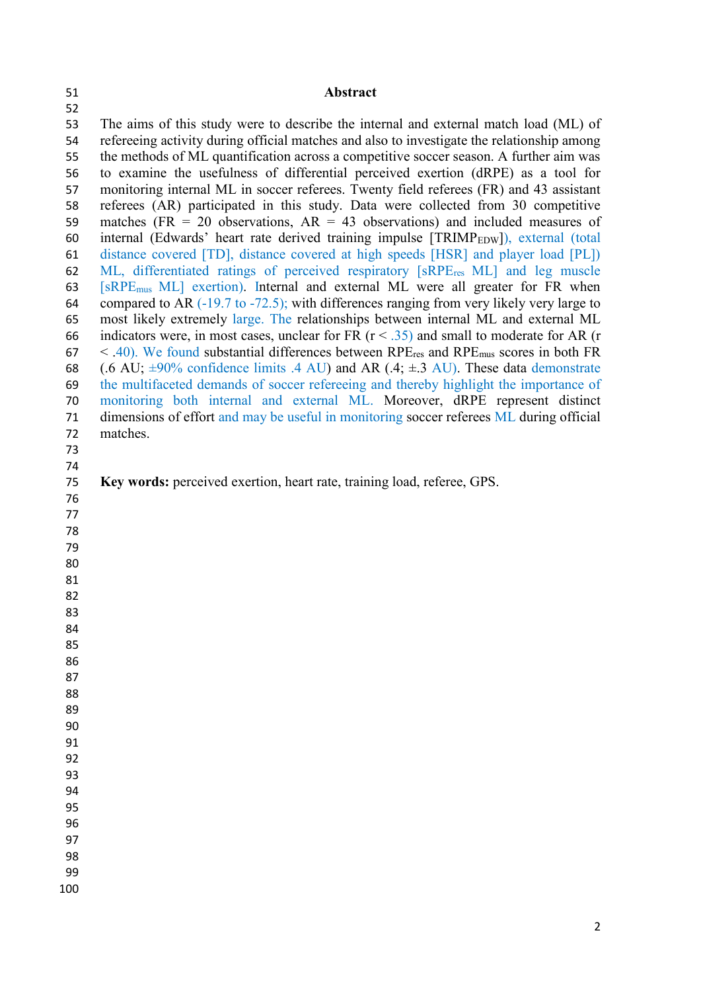#### **Abstract**

 The aims of this study were to describe the internal and external match load (ML) of refereeing activity during official matches and also to investigate the relationship among the methods of ML quantification across a competitive soccer season. A further aim was to examine the usefulness of differential perceived exertion (dRPE) as a tool for monitoring internal ML in soccer referees. Twenty field referees (FR) and 43 assistant referees (AR) participated in this study. Data were collected from 30 competitive 59 matches (FR = 20 observations,  $AR = 43$  observations) and included measures of internal (Edwards' heart rate derived training impulse [TRIMPEDW]), external (total distance covered [TD], distance covered at high speeds [HSR] and player load [PL]) ML, differentiated ratings of perceived respiratory [sRPEres ML] and leg muscle [sRPEmus ML] exertion). Internal and external ML were all greater for FR when compared to AR (-19.7 to -72.5); with differences ranging from very likely very large to most likely extremely large. The relationships between internal ML and external ML 66 indicators were, in most cases, unclear for FR  $(r < .35)$  and small to moderate for AR  $(r$  $67 \leq 0.40$ . We found substantial differences between RPE<sub>res</sub> and RPE<sub>mus</sub> scores in both FR 68 (.6 AU;  $\pm 90\%$  confidence limits .4 AU) and AR (.4;  $\pm$  3 AU). These data demonstrate the multifaceted demands of soccer refereeing and thereby highlight the importance of monitoring both internal and external ML. Moreover, dRPE represent distinct dimensions of effort and may be useful in monitoring soccer referees ML during official matches. **Key words:** perceived exertion, heart rate, training load, referee, GPS.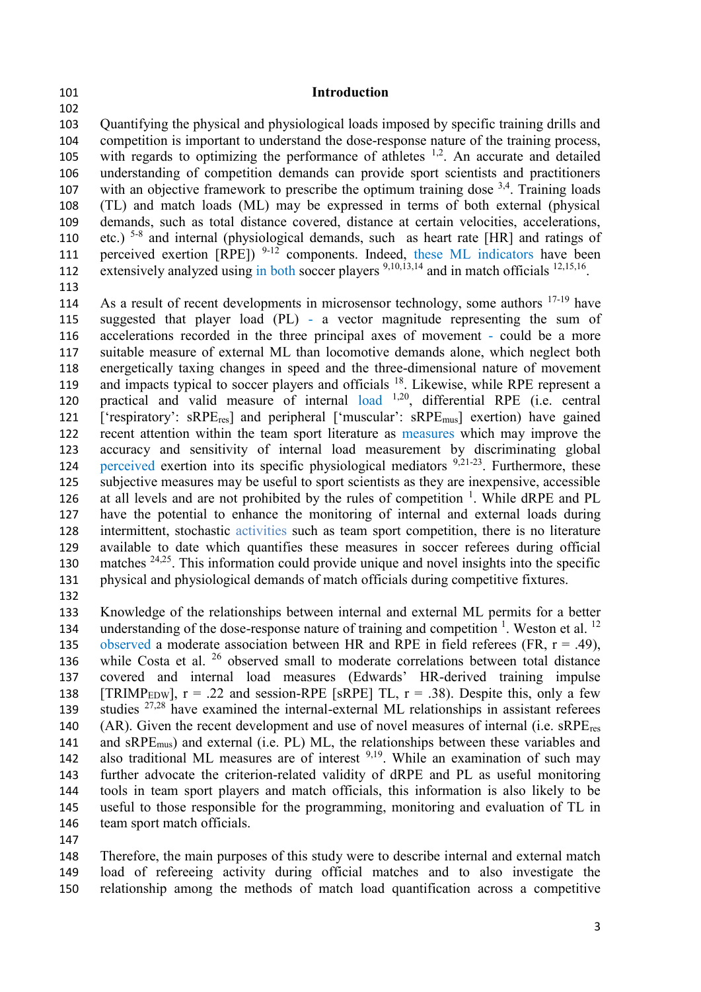## **Introduction**

 Quantifying the physical and physiological loads imposed by specific training drills and competition is important to understand the dose-response nature of the training process, 105 with regards to optimizing the performance of athletes  $1,2$ . An accurate and detailed understanding of competition demands can provide sport scientists and practitioners 107 with an objective framework to prescribe the optimum training dose  $3,4$ . Training loads (TL) and match loads (ML) may be expressed in terms of both external (physical demands, such as total distance covered, distance at certain velocities, accelerations, 110 etc.)  $5-8$  and internal (physiological demands, such as heart rate [HR] and ratings of 111 perceived exertion  $[RPE]$ <sup>9-12</sup> components. Indeed, these ML indicators have been extensively analyzed using in both soccer players  $9,10,13,14$  and in match officials  $12,15,16$ .

114 As a result of recent developments in microsensor technology, some authors  $17-19$  have suggested that player load (PL) - a vector magnitude representing the sum of accelerations recorded in the three principal axes of movement - could be a more suitable measure of external ML than locomotive demands alone, which neglect both energetically taxing changes in speed and the three-dimensional nature of movement and impacts typical to soccer players and officials . Likewise, while RPE represent a 120 practical and valid measure of internal  $load$ <sup>1,20</sup>, differential RPE (i.e. central 121 ['respiratory': sRPE<sub>res</sub>] and peripheral ['muscular': sRPE<sub>mus</sub>] exertion) have gained recent attention within the team sport literature as measures which may improve the accuracy and sensitivity of internal load measurement by discriminating global **perceived exertion into its specific physiological mediators**  $9,21-23$  Furthermore, these subjective measures may be useful to sport scientists as they are inexpensive, accessible 126 at all levels and are not prohibited by the rules of competition  $<sup>1</sup>$ . While dRPE and PL</sup> have the potential to enhance the monitoring of internal and external loads during intermittent, stochastic activities such as team sport competition, there is no literature available to date which quantifies these measures in soccer referees during official 130 matches  $24,25$ . This information could provide unique and novel insights into the specific physical and physiological demands of match officials during competitive fixtures.

 Knowledge of the relationships between internal and external ML permits for a better 134 understanding of the dose-response nature of training and competition . Weston et al.  $12$ 135 observed a moderate association between HR and RPE in field referees (FR,  $r = .49$ ), 136 while Costa et al. observed small to moderate correlations between total distance covered and internal load measures (Edwards' HR-derived training impulse 138 [TRIMP<sub>EDW</sub>],  $r = .22$  and session-RPE [sRPE] TL,  $r = .38$ ]. Despite this, only a few studies  $27,28$  have examined the internal-external ML relationships in assistant referees (AR). Given the recent development and use of novel measures of internal (i.e. sRPEres and sRPEmus) and external (i.e. PL) ML, the relationships between these variables and also traditional ML measures are of interest  $9,19$ . While an examination of such may further advocate the criterion-related validity of dRPE and PL as useful monitoring tools in team sport players and match officials, this information is also likely to be useful to those responsible for the programming, monitoring and evaluation of TL in 146 team sport match officials.

 Therefore, the main purposes of this study were to describe internal and external match load of refereeing activity during official matches and to also investigate the relationship among the methods of match load quantification across a competitive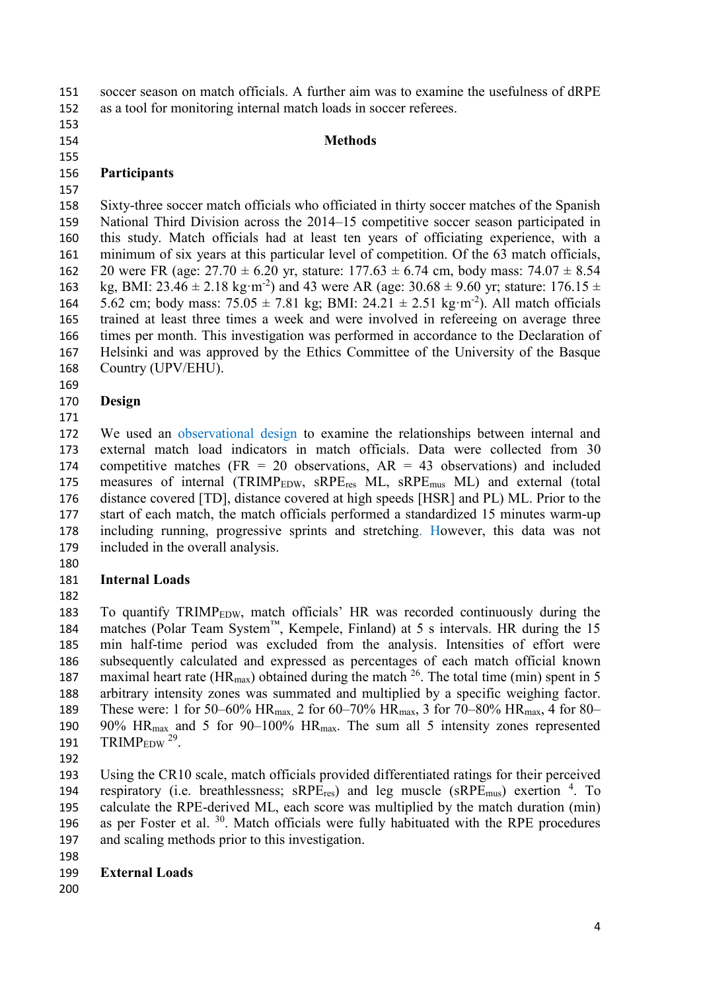soccer season on match officials. A further aim was to examine the usefulness of dRPE as a tool for monitoring internal match loads in soccer referees.

## **Methods**

## **Participants**

 Sixty-three soccer match officials who officiated in thirty soccer matches of the Spanish National Third Division across the 2014–15 competitive soccer season participated in this study. Match officials had at least ten years of officiating experience, with a minimum of six years at this particular level of competition. Of the 63 match officials, 162 20 were FR (age:  $27.70 \pm 6.20$  yr, stature:  $177.63 \pm 6.74$  cm, body mass:  $74.07 \pm 8.54$ 163 kg, BMI:  $23.46 \pm 2.18$  kg·m<sup>-2</sup>) and 43 were AR (age:  $30.68 \pm 9.60$  yr; stature:  $176.15 \pm 1.6$ 164 5.62 cm; body mass:  $75.05 \pm 7.81$  kg; BMI:  $24.21 \pm 2.51$  kg·m<sup>-2</sup>). All match officials trained at least three times a week and were involved in refereeing on average three times per month. This investigation was performed in accordance to the Declaration of Helsinki and was approved by the Ethics Committee of the University of the Basque Country (UPV/EHU).

- 
- **Design**
- 

 We used an observational design to examine the relationships between internal and external match load indicators in match officials. Data were collected from 30 174 competitive matches  $(FR = 20$  observations,  $AR = 43$  observations) and included 175 measures of internal (TRIMP<sub>EDW, S</sub>RPE<sub>res</sub> ML, sRPE<sub>mus</sub> ML) and external (total distance covered [TD], distance covered at high speeds [HSR] and PL) ML. Prior to the start of each match, the match officials performed a standardized 15 minutes warm-up including running, progressive sprints and stretching. However, this data was not included in the overall analysis.

## **Internal Loads**

183 To quantify TRIMP<sub>EDW</sub>, match officials' HR was recorded continuously during the 184 matches (Polar Team System<sup>™</sup>, Kempele, Finland) at 5 s intervals. HR during the 15 min half-time period was excluded from the analysis. Intensities of effort were subsequently calculated and expressed as percentages of each match official known 187 maximal heart rate (HR<sub>max</sub>) obtained during the match <sup>26</sup>. The total time (min) spent in 5 arbitrary intensity zones was summated and multiplied by a specific weighing factor. These were: 1 for 50–60% HRmax, 2 for 60–70% HRmax, 3 for 70–80% HRmax, 4 for 80– 90% HRmax and 5 for 90–100% HRmax. The sum all 5 intensity zones represented 191 TRIMP<sub>EDW</sub><sup>29</sup>.

 Using the CR10 scale, match officials provided differentiated ratings for their perceived 194 respiratory (i.e. breathlessness;  $sRPE_{res}$ ) and leg muscle  $(sRPE_{mus})$  exertion  $4$ . To calculate the RPE-derived ML, each score was multiplied by the match duration (min) 196 as per Foster et al. . Match officials were fully habituated with the RPE procedures and scaling methods prior to this investigation.

- 
- **External Loads**
-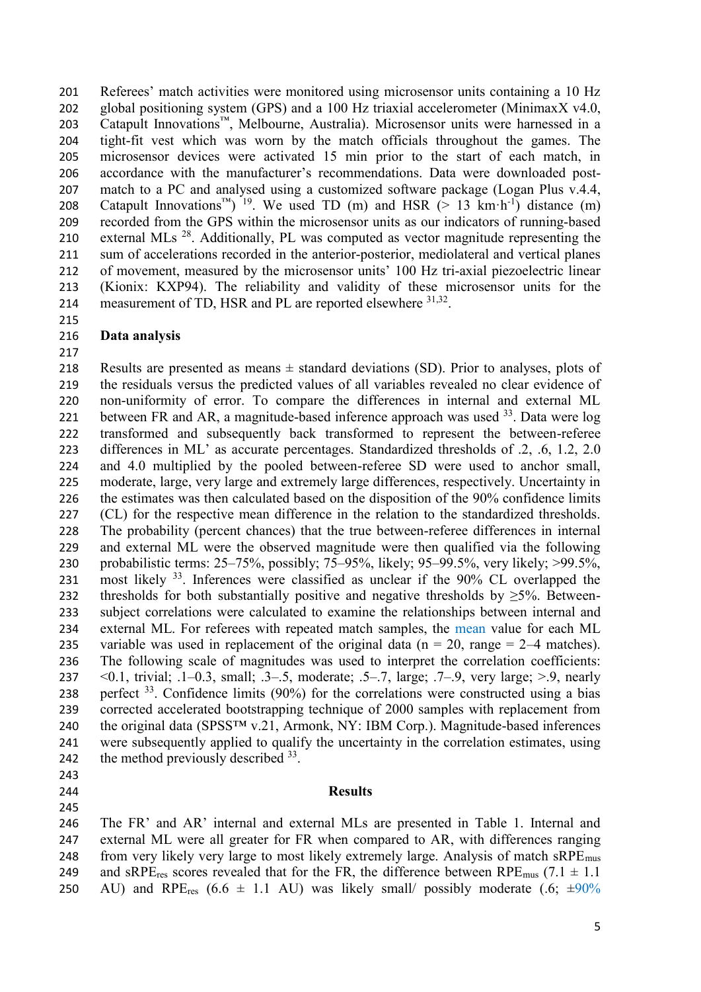Referees' match activities were monitored using microsensor units containing a 10 Hz global positioning system (GPS) and a 100 Hz triaxial accelerometer (MinimaxX v4.0, 203 Catapult Innovations™, Melbourne, Australia). Microsensor units were harnessed in a tight-fit vest which was worn by the match officials throughout the games. The microsensor devices were activated 15 min prior to the start of each match, in accordance with the manufacturer's recommendations. Data were downloaded post- match to a PC and analysed using a customized software package (Logan Plus v.4.4, 208 Catapult Innovations<sup>™</sup>)<sup>19</sup>. We used TD (m) and HSR (> 13 km·h<sup>-1</sup>) distance (m) recorded from the GPS within the microsensor units as our indicators of running-based 210 external MLs  $^{28}$ . Additionally, PL was computed as vector magnitude representing the sum of accelerations recorded in the anterior-posterior, mediolateral and vertical planes of movement, measured by the microsensor units' 100 Hz tri-axial piezoelectric linear (Kionix: KXP94). The reliability and validity of these microsensor units for the 214 measurement of TD, HSR and PL are reported elsewhere  $31,32$ .

## **Data analysis**

218 Results are presented as means  $\pm$  standard deviations (SD). Prior to analyses, plots of the residuals versus the predicted values of all variables revealed no clear evidence of non-uniformity of error. To compare the differences in internal and external ML 221 between FR and AR, a magnitude-based inference approach was used . Data were log transformed and subsequently back transformed to represent the between-referee differences in ML' as accurate percentages. Standardized thresholds of .2, .6, 1.2, 2.0 and 4.0 multiplied by the pooled between-referee SD were used to anchor small, moderate, large, very large and extremely large differences, respectively. Uncertainty in the estimates was then calculated based on the disposition of the 90% confidence limits (CL) for the respective mean difference in the relation to the standardized thresholds. The probability (percent chances) that the true between-referee differences in internal and external ML were the observed magnitude were then qualified via the following probabilistic terms: 25–75%, possibly; 75–95%, likely; 95–99.5%, very likely; >99.5%, 231 most likely . Inferences were classified as unclear if the 90% CL overlapped the 232 thresholds for both substantially positive and negative thresholds by  $\geq$ 5%. Between- subject correlations were calculated to examine the relationships between internal and external ML. For referees with repeated match samples, the mean value for each ML 235 variable was used in replacement of the original data ( $n = 20$ , range  $= 2-4$  matches). The following scale of magnitudes was used to interpret the correlation coefficients: <0.1, trivial; .1–0.3, small; .3–.5, moderate; .5–.7, large; .7–.9, very large; >.9, nearly 238 perfect . Confidence limits (90%) for the correlations were constructed using a bias corrected accelerated bootstrapping technique of 2000 samples with replacement from 240 the original data (SPSS<sup>TM</sup> v.21, Armonk, NY: IBM Corp.). Magnitude-based inferences were subsequently applied to qualify the uncertainty in the correlation estimates, using 242 the method previously described .

# 

## **Results**

 The FR' and AR' internal and external MLs are presented in Table 1. Internal and external ML were all greater for FR when compared to AR, with differences ranging 248 from very likely very large to most likely extremely large. Analysis of match sRPE<sub>mus</sub> 249 and sRPE<sub>res</sub> scores revealed that for the FR, the difference between RPE<sub>mus</sub> (7.1  $\pm$  1.1) 250 AU) and RPE<sub>res</sub>  $(6.6 \pm 1.1 \text{ AU})$  was likely small/ possibly moderate  $(.6; \pm 90\%$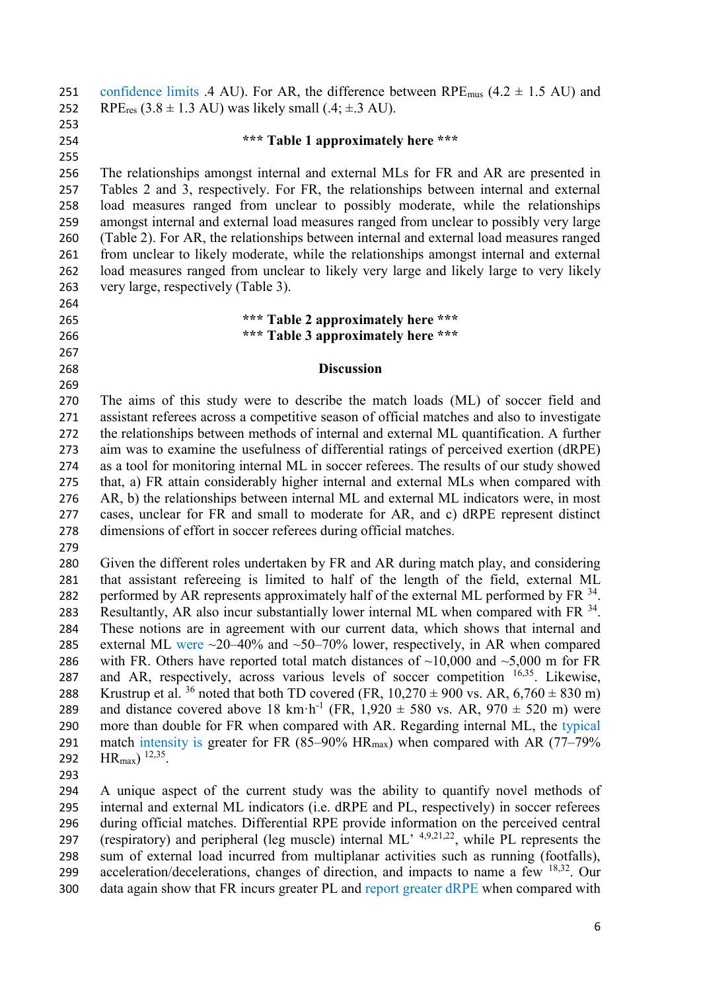251 confidence limits .4 AU). For AR, the difference between RPE<sub>mus</sub>  $(4.2 \pm 1.5 \text{ AU})$  and 252 RPE<sub>res</sub>  $(3.8 \pm 1.3 \text{ AU})$  was likely small  $(.4; \pm .3 \text{ AU})$ . **\*\*\* Table 1 approximately here \*\*\***  The relationships amongst internal and external MLs for FR and AR are presented in Tables 2 and 3, respectively. For FR, the relationships between internal and external load measures ranged from unclear to possibly moderate, while the relationships amongst internal and external load measures ranged from unclear to possibly very large (Table 2). For AR, the relationships between internal and external load measures ranged from unclear to likely moderate, while the relationships amongst internal and external load measures ranged from unclear to likely very large and likely large to very likely very large, respectively (Table 3). **\*\*\* Table 2 approximately here \*\*\* \*\*\* Table 3 approximately here \*\*\* Discussion**  The aims of this study were to describe the match loads (ML) of soccer field and assistant referees across a competitive season of official matches and also to investigate the relationships between methods of internal and external ML quantification. A further aim was to examine the usefulness of differential ratings of perceived exertion (dRPE) as a tool for monitoring internal ML in soccer referees. The results of our study showed that, a) FR attain considerably higher internal and external MLs when compared with AR, b) the relationships between internal ML and external ML indicators were, in most cases, unclear for FR and small to moderate for AR, and c) dRPE represent distinct dimensions of effort in soccer referees during official matches. Given the different roles undertaken by FR and AR during match play, and considering that assistant refereeing is limited to half of the length of the field, external ML 282 performed by AR represents approximately half of the external ML performed by FR  $^{34}$ . 283 Resultantly, AR also incur substantially lower internal ML when compared with FR  $^{34}$ . These notions are in agreement with our current data, which shows that internal and 285 external ML were  $\approx$  20–40% and  $\approx$  50–70% lower, respectively, in AR when compared 286 with FR. Others have reported total match distances of  $\sim$ 10,000 and  $\sim$ 5,000 m for FR 287 and AR, respectively, across various levels of soccer competition  $16,35$ . Likewise, 288 Krustrup et al. <sup>36</sup> noted that both TD covered (FR,  $10.270 \pm 900$  vs. AR,  $6.760 \pm 830$  m) 289 and distance covered above 18 km·h<sup>-1</sup> (FR, 1,920  $\pm$  580 vs. AR, 970  $\pm$  520 m) were more than double for FR when compared with AR. Regarding internal ML, the typical 291 match intensity is greater for FR (85–90% HR<sub>max</sub>) when compared with AR (77–79%  $HR_{max}$ )  $^{12,35}$ . A unique aspect of the current study was the ability to quantify novel methods of internal and external ML indicators (i.e. dRPE and PL, respectively) in soccer referees during official matches. Differential RPE provide information on the perceived central 297 (respiratory) and peripheral (leg muscle) internal ML<sup> $(4,9,21,22)$ </sup>, while PL represents the

 sum of external load incurred from multiplanar activities such as running (footfalls), acceleration/decelerations, changes of direction, and impacts to name a few  $^{18,32}$ . Our data again show that FR incurs greater PL and report greater dRPE when compared with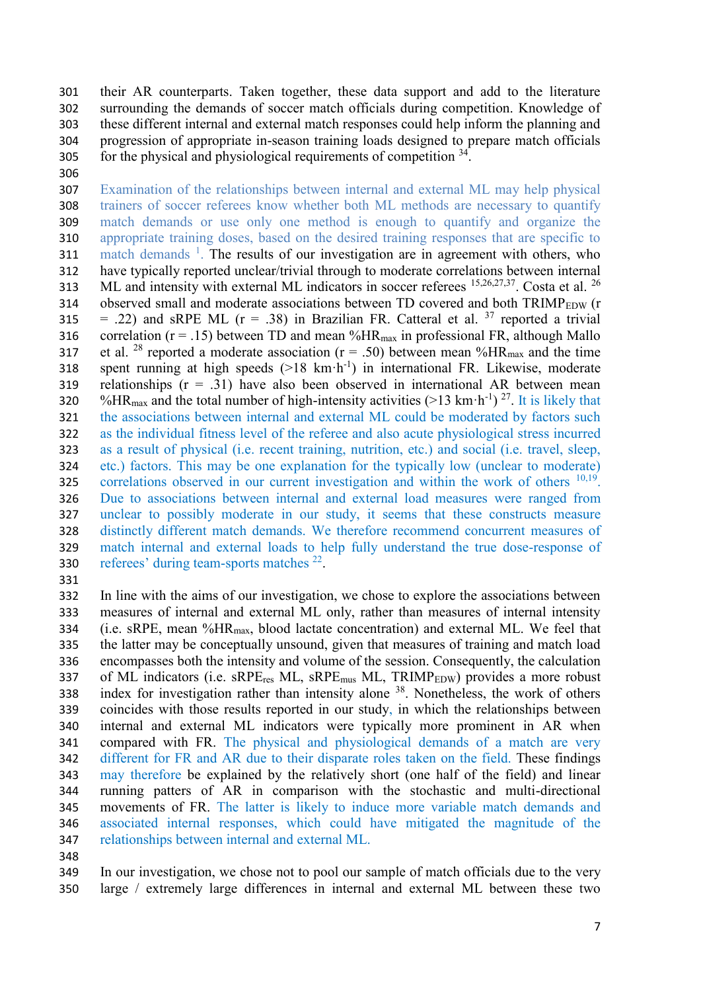their AR counterparts. Taken together, these data support and add to the literature surrounding the demands of soccer match officials during competition. Knowledge of these different internal and external match responses could help inform the planning and progression of appropriate in-season training loads designed to prepare match officials  $\frac{1}{305}$  for the physical and physiological requirements of competition  $34$ .

 Examination of the relationships between internal and external ML may help physical trainers of soccer referees know whether both ML methods are necessary to quantify match demands or use only one method is enough to quantify and organize the appropriate training doses, based on the desired training responses that are specific to match demands <sup>1</sup>. The results of our investigation are in agreement with others, who have typically reported unclear/trivial through to moderate correlations between internal 313 ML and intensity with external ML indicators in soccer referees  $15,26,27,37$ . Costa et al.  $26$ 314 observed small and moderate associations between TD covered and both TRIMPEDW (r 315 = .22) and sRPE ML ( $r = .38$ ) in Brazilian FR. Catteral et al. <sup>37</sup> reported a trivial 316 correlation ( $r = .15$ ) between TD and mean %HR<sub>max</sub> in professional FR, although Mallo 317 et al. <sup>28</sup> reported a moderate association ( $r = .50$ ) between mean %HR<sub>max</sub> and the time 318 spent running at high speeds  $(>18 \text{ km} \cdot \text{h}^{-1})$  in international FR. Likewise, moderate relationships (r = .31) have also been observed in international AR between mean 320 %HR<sub>max</sub> and the total number of high-intensity activities (>13 km·h<sup>-1</sup>)<sup>27</sup>. It is likely that the associations between internal and external ML could be moderated by factors such as the individual fitness level of the referee and also acute physiological stress incurred as a result of physical (i.e. recent training, nutrition, etc.) and social (i.e. travel, sleep, etc.) factors. This may be one explanation for the typically low (unclear to moderate) 325 correlations observed in our current investigation and within the work of others  $10,19$ . Due to associations between internal and external load measures were ranged from unclear to possibly moderate in our study, it seems that these constructs measure distinctly different match demands. We therefore recommend concurrent measures of match internal and external loads to help fully understand the true dose-response of 330 referees' during team-sports matches .

 In line with the aims of our investigation, we chose to explore the associations between measures of internal and external ML only, rather than measures of internal intensity (i.e. sRPE, mean %HRmax, blood lactate concentration) and external ML. We feel that the latter may be conceptually unsound, given that measures of training and match load encompasses both the intensity and volume of the session. Consequently, the calculation 337 of ML indicators (i.e. sRPE<sub>res</sub> ML, sRPE<sub>mus</sub> ML, TRIMP<sub>EDW</sub>) provides a more robust index for investigation rather than intensity alone  $38$ . Nonetheless, the work of others coincides with those results reported in our study, in which the relationships between internal and external ML indicators were typically more prominent in AR when compared with FR. The physical and physiological demands of a match are very different for FR and AR due to their disparate roles taken on the field. These findings may therefore be explained by the relatively short (one half of the field) and linear running patters of AR in comparison with the stochastic and multi-directional movements of FR. The latter is likely to induce more variable match demands and associated internal responses, which could have mitigated the magnitude of the relationships between internal and external ML.

 In our investigation, we chose not to pool our sample of match officials due to the very large / extremely large differences in internal and external ML between these two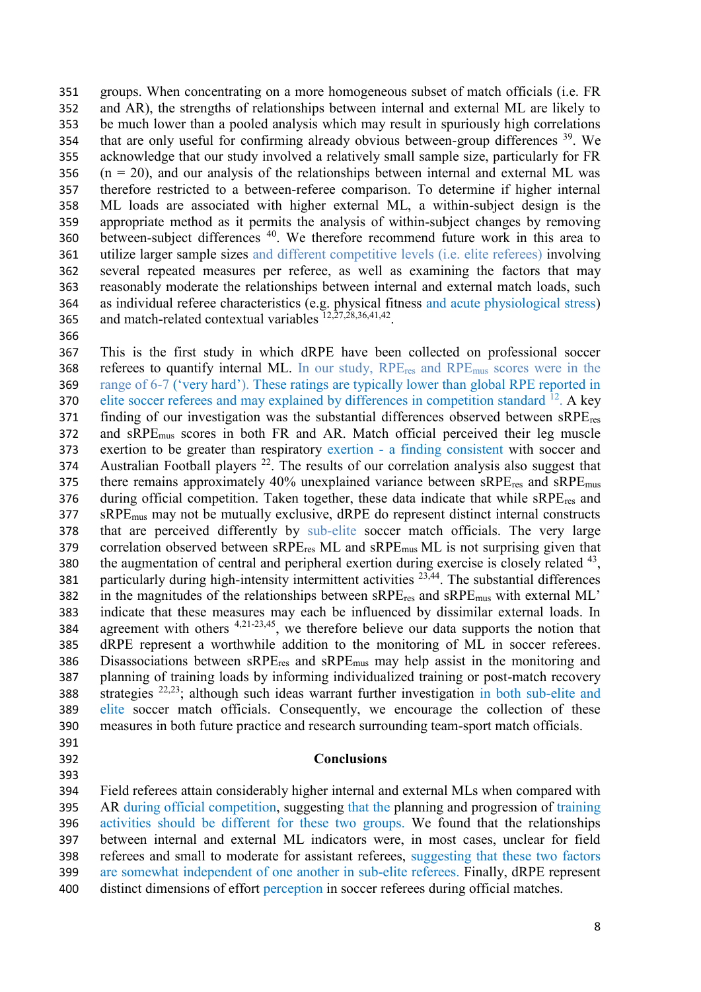groups. When concentrating on a more homogeneous subset of match officials (i.e. FR and AR), the strengths of relationships between internal and external ML are likely to be much lower than a pooled analysis which may result in spuriously high correlations that are only useful for confirming already obvious between-group differences  $39$ . We acknowledge that our study involved a relatively small sample size, particularly for FR  $(n = 20)$ , and our analysis of the relationships between internal and external ML was therefore restricted to a between-referee comparison. To determine if higher internal ML loads are associated with higher external ML, a within-subject design is the appropriate method as it permits the analysis of within-subject changes by removing 360 between-subject differences <sup>40</sup>. We therefore recommend future work in this area to utilize larger sample sizes and different competitive levels (i.e. elite referees) involving several repeated measures per referee, as well as examining the factors that may reasonably moderate the relationships between internal and external match loads, such as individual referee characteristics (e.g. physical fitness and acute physiological stress) 365 and match-related contextual variables  $\frac{12,27,28,36,41,42}{2}$ .

 This is the first study in which dRPE have been collected on professional soccer referees to quantify internal ML. In our study, RPEres and RPEmus scores were in the range of 6-7 ('very hard'). These ratings are typically lower than global RPE reported in 370 elite soccer referees and may explained by differences in competition standard  $^{12}$ . A key 371 finding of our investigation was the substantial differences observed between sRPE<sub>res</sub> and sRPEmus scores in both FR and AR. Match official perceived their leg muscle exertion to be greater than respiratory exertion - a finding consistent with soccer and  $\frac{374}{9}$  Australian Football players <sup>22</sup>. The results of our correlation analysis also suggest that 375 there remains approximately 40% unexplained variance between sRPE<sub>res</sub> and sRPE<sub>mus</sub> during official competition. Taken together, these data indicate that while sRPEres and sRPEmus may not be mutually exclusive, dRPE do represent distinct internal constructs that are perceived differently by sub-elite soccer match officials. The very large 379 correlation observed between sRPE<sub>res</sub> ML and sRPE<sub>mus</sub> ML is not surprising given that the augmentation of central and peripheral exertion during exercise is closely related , 381 particularly during high-intensity intermittent activities <sup>23,44</sup>. The substantial differences 382 in the magnitudes of the relationships between sRPE<sub>res</sub> and sRPE<sub>mus</sub> with external ML' indicate that these measures may each be influenced by dissimilar external loads. In 384 agreement with others  $4,21-23,45$ , we therefore believe our data supports the notion that dRPE represent a worthwhile addition to the monitoring of ML in soccer referees. Disassociations between sRPEres and sRPEmus may help assist in the monitoring and planning of training loads by informing individualized training or post-match recovery 388 strategies  $22,23$ ; although such ideas warrant further investigation in both sub-elite and elite soccer match officials. Consequently, we encourage the collection of these measures in both future practice and research surrounding team-sport match officials.

#### **Conclusions**

 Field referees attain considerably higher internal and external MLs when compared with AR during official competition, suggesting that the planning and progression of training activities should be different for these two groups. We found that the relationships between internal and external ML indicators were, in most cases, unclear for field referees and small to moderate for assistant referees, suggesting that these two factors are somewhat independent of one another in sub-elite referees. Finally, dRPE represent distinct dimensions of effort perception in soccer referees during official matches.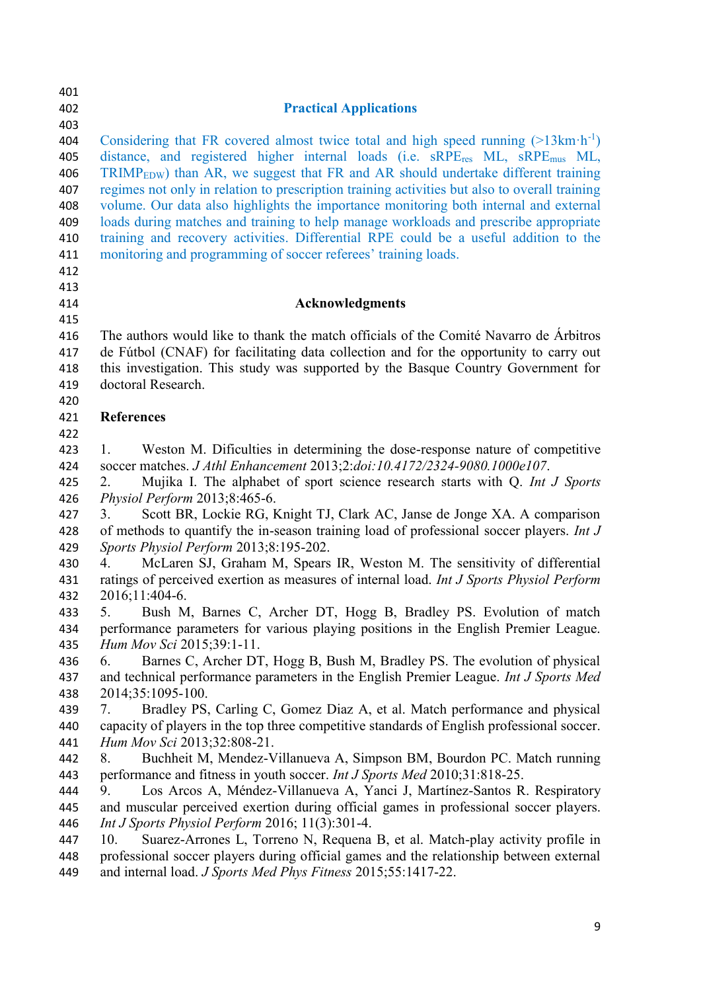**Practical Applications**  404 Considering that FR covered almost twice total and high speed running  $(>13km\cdot h^{-1})$  distance, and registered higher internal loads (i.e. sRPEres ML, sRPEmus ML, TRIMPEDW) than AR, we suggest that FR and AR should undertake different training regimes not only in relation to prescription training activities but also to overall training volume. Our data also highlights the importance monitoring both internal and external loads during matches and training to help manage workloads and prescribe appropriate training and recovery activities. Differential RPE could be a useful addition to the monitoring and programming of soccer referees' training loads. **Acknowledgments**  The authors would like to thank the match officials of the Comité Navarro de Árbitros de Fútbol (CNAF) for facilitating data collection and for the opportunity to carry out this investigation. This study was supported by the Basque Country Government for doctoral Research. **References**  1. Weston M. Dificulties in determining the dose-response nature of competitive soccer matches. *J Athl Enhancement* 2013;2:*doi:10.4172/2324-9080.1000e107*. 2. Mujika I. The alphabet of sport science research starts with Q. *Int J Sports Physiol Perform* 2013;8:465-6. 3. Scott BR, Lockie RG, Knight TJ, Clark AC, Janse de Jonge XA. A comparison of methods to quantify the in-season training load of professional soccer players. *Int J Sports Physiol Perform* 2013;8:195-202. 4. McLaren SJ, Graham M, Spears IR, Weston M. The sensitivity of differential ratings of perceived exertion as measures of internal load. *Int J Sports Physiol Perform* 2016;11:404-6. 5. Bush M, Barnes C, Archer DT, Hogg B, Bradley PS. Evolution of match performance parameters for various playing positions in the English Premier League. *Hum Mov Sci* 2015;39:1-11. 6. Barnes C, Archer DT, Hogg B, Bush M, Bradley PS. The evolution of physical and technical performance parameters in the English Premier League. *Int J Sports Med* 2014;35:1095-100. 7. Bradley PS, Carling C, Gomez Diaz A, et al. Match performance and physical capacity of players in the top three competitive standards of English professional soccer. *Hum Mov Sci* 2013;32:808-21. 8. Buchheit M, Mendez-Villanueva A, Simpson BM, Bourdon PC. Match running performance and fitness in youth soccer. *Int J Sports Med* 2010;31:818-25. 9. Los Arcos A, Méndez-Villanueva A, Yanci J, Martínez-Santos R. Respiratory and muscular perceived exertion during official games in professional soccer players. *Int J Sports Physiol Perform* 2016; 11(3):301-4. 10. Suarez-Arrones L, Torreno N, Requena B, et al. Match-play activity profile in professional soccer players during official games and the relationship between external and internal load. *J Sports Med Phys Fitness* 2015;55:1417-22.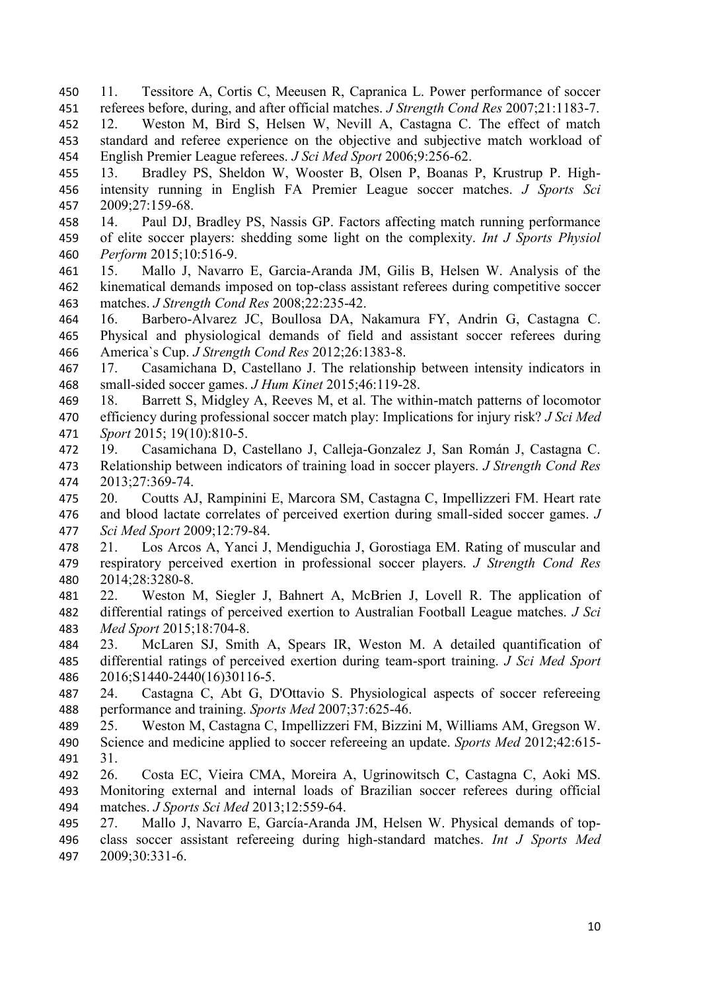- 11. Tessitore A, Cortis C, Meeusen R, Capranica L. Power performance of soccer referees before, during, and after official matches. *J Strength Cond Res* 2007;21:1183-7.
- 12. Weston M, Bird S, Helsen W, Nevill A, Castagna C. The effect of match standard and referee experience on the objective and subjective match workload of English Premier League referees. *J Sci Med Sport* 2006;9:256-62.
- 13. Bradley PS, Sheldon W, Wooster B, Olsen P, Boanas P, Krustrup P. High- intensity running in English FA Premier League soccer matches. *J Sports Sci* 2009;27:159-68.
- 14. Paul DJ, Bradley PS, Nassis GP. Factors affecting match running performance of elite soccer players: shedding some light on the complexity. *Int J Sports Physiol Perform* 2015;10:516-9.
- 15. Mallo J, Navarro E, Garcia-Aranda JM, Gilis B, Helsen W. Analysis of the kinematical demands imposed on top-class assistant referees during competitive soccer matches. *J Strength Cond Res* 2008;22:235-42.
- 16. Barbero-Alvarez JC, Boullosa DA, Nakamura FY, Andrin G, Castagna C. Physical and physiological demands of field and assistant soccer referees during America`s Cup. *J Strength Cond Res* 2012;26:1383-8.
- 17. Casamichana D, Castellano J. The relationship between intensity indicators in small-sided soccer games. *J Hum Kinet* 2015;46:119-28.
- 18. Barrett S, Midgley A, Reeves M, et al. The within-match patterns of locomotor efficiency during professional soccer match play: Implications for injury risk? *J Sci Med Sport* 2015; 19(10):810-5.
- 19. Casamichana D, Castellano J, Calleja-Gonzalez J, San Román J, Castagna C. Relationship between indicators of training load in soccer players. *J Strength Cond Res* 2013;27:369-74.
- 20. Coutts AJ, Rampinini E, Marcora SM, Castagna C, Impellizzeri FM. Heart rate and blood lactate correlates of perceived exertion during small-sided soccer games. *J Sci Med Sport* 2009;12:79-84.
- 21. Los Arcos A, Yanci J, Mendiguchia J, Gorostiaga EM. Rating of muscular and respiratory perceived exertion in professional soccer players. *J Strength Cond Res* 2014;28:3280-8.
- 22. Weston M, Siegler J, Bahnert A, McBrien J, Lovell R. The application of differential ratings of perceived exertion to Australian Football League matches. *J Sci Med Sport* 2015;18:704-8.
- 23. McLaren SJ, Smith A, Spears IR, Weston M. A detailed quantification of differential ratings of perceived exertion during team-sport training. *J Sci Med Sport* 2016;S1440-2440(16)30116-5.
- 24. Castagna C, Abt G, D'Ottavio S. Physiological aspects of soccer refereeing performance and training. *Sports Med* 2007;37:625-46.
- 25. Weston M, Castagna C, Impellizzeri FM, Bizzini M, Williams AM, Gregson W. Science and medicine applied to soccer refereeing an update. *Sports Med* 2012;42:615- 31.
- 26. Costa EC, Vieira CMA, Moreira A, Ugrinowitsch C, Castagna C, Aoki MS. Monitoring external and internal loads of Brazilian soccer referees during official matches. *J Sports Sci Med* 2013;12:559-64.
- 27. Mallo J, Navarro E, García-Aranda JM, Helsen W. Physical demands of top- class soccer assistant refereeing during high-standard matches. *Int J Sports Med* 2009;30:331-6.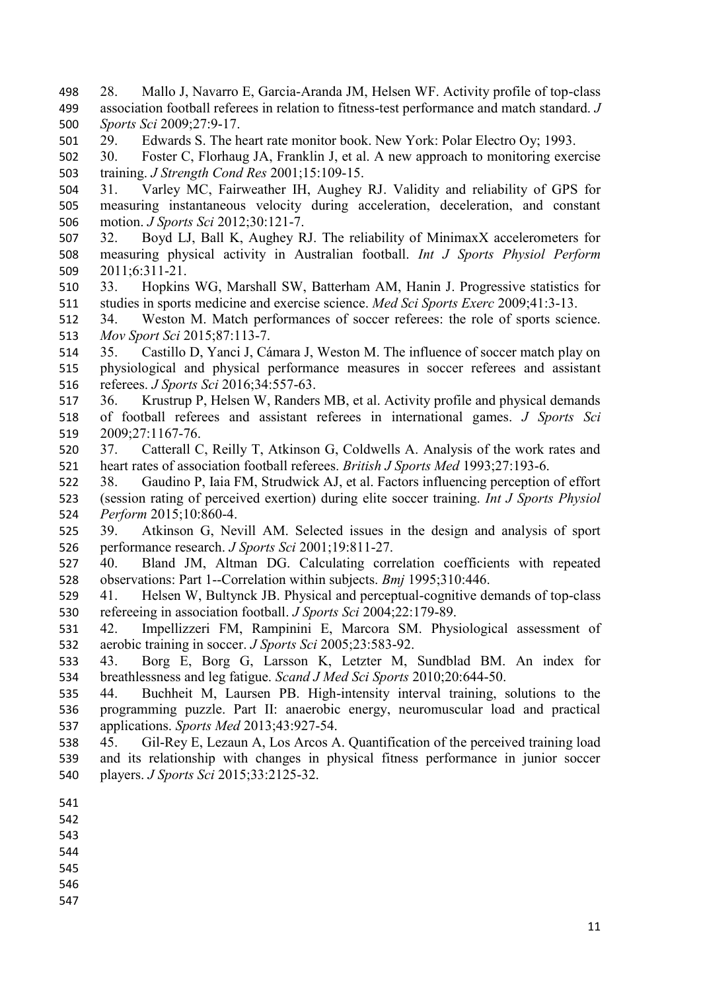- 28. Mallo J, Navarro E, Garcia-Aranda JM, Helsen WF. Activity profile of top-class association football referees in relation to fitness-test performance and match standard. *J Sports Sci* 2009;27:9-17.
- 29. Edwards S. The heart rate monitor book. New York: Polar Electro Oy; 1993.

 30. Foster C, Florhaug JA, Franklin J, et al. A new approach to monitoring exercise training. *J Strength Cond Res* 2001;15:109-15.

 31. Varley MC, Fairweather IH, Aughey RJ. Validity and reliability of GPS for measuring instantaneous velocity during acceleration, deceleration, and constant motion. *J Sports Sci* 2012;30:121-7.

 32. Boyd LJ, Ball K, Aughey RJ. The reliability of MinimaxX accelerometers for measuring physical activity in Australian football. *Int J Sports Physiol Perform* 2011;6:311-21.

 33. Hopkins WG, Marshall SW, Batterham AM, Hanin J. Progressive statistics for studies in sports medicine and exercise science. *Med Sci Sports Exerc* 2009;41:3-13.

 34. Weston M. Match performances of soccer referees: the role of sports science. *Mov Sport Sci* 2015;87:113-7.

- 35. Castillo D, Yanci J, Cámara J, Weston M. The influence of soccer match play on physiological and physical performance measures in soccer referees and assistant referees. *J Sports Sci* 2016;34:557-63.
- 36. Krustrup P, Helsen W, Randers MB, et al. Activity profile and physical demands of football referees and assistant referees in international games. *J Sports Sci* 2009;27:1167-76.
- 37. Catterall C, Reilly T, Atkinson G, Coldwells A. Analysis of the work rates and heart rates of association football referees. *British J Sports Med* 1993;27:193-6.
- 38. Gaudino P, Iaia FM, Strudwick AJ, et al. Factors influencing perception of effort (session rating of perceived exertion) during elite soccer training. *Int J Sports Physiol Perform* 2015;10:860-4.
- 39. Atkinson G, Nevill AM. Selected issues in the design and analysis of sport performance research. *J Sports Sci* 2001;19:811-27.
- 40. Bland JM, Altman DG. Calculating correlation coefficients with repeated observations: Part 1--Correlation within subjects. *Bmj* 1995;310:446.
- 41. Helsen W, Bultynck JB. Physical and perceptual-cognitive demands of top-class refereeing in association football. *J Sports Sci* 2004;22:179-89.
- 42. Impellizzeri FM, Rampinini E, Marcora SM. Physiological assessment of aerobic training in soccer. *J Sports Sci* 2005;23:583-92.

 43. Borg E, Borg G, Larsson K, Letzter M, Sundblad BM. An index for breathlessness and leg fatigue. *Scand J Med Sci Sports* 2010;20:644-50.

 44. Buchheit M, Laursen PB. High-intensity interval training, solutions to the programming puzzle. Part II: anaerobic energy, neuromuscular load and practical applications. *Sports Med* 2013;43:927-54.

- 45. Gil-Rey E, Lezaun A, Los Arcos A. Quantification of the perceived training load and its relationship with changes in physical fitness performance in junior soccer players. *J Sports Sci* 2015;33:2125-32.
- 
- 
- 
- 
- 
-